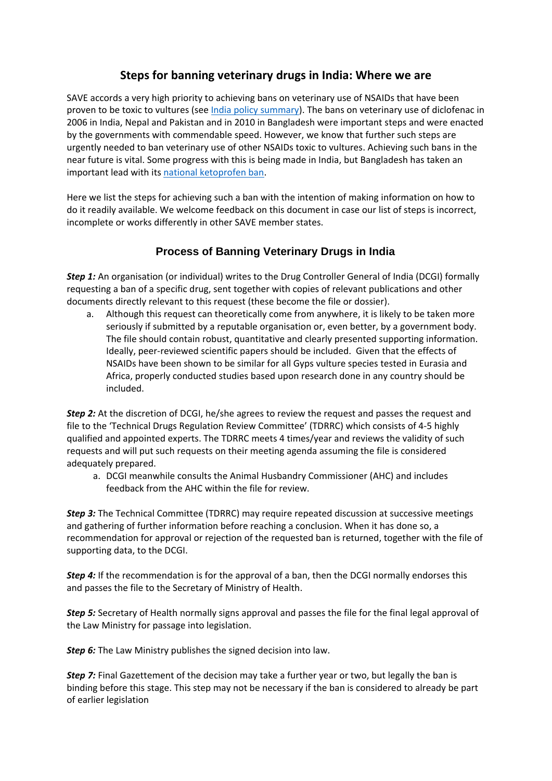## **Steps for banning veterinary drugs in India: Where we are**

SAVE accords a very high priority to achieving bans on veterinary use of NSAIDs that have been proven to be toxic to vultures (se[e India policy summary\)](https://save-vultures.org/wp-content/uploads/2020/02/Vulture-policy-brief-India-Feb-20-updated.pdf). The bans on veterinary use of diclofenac in 2006 in India, Nepal and Pakistan and in 2010 in Bangladesh were important steps and were enacted by the governments with commendable speed. However, we know that further such steps are urgently needed to ban veterinary use of other NSAIDs toxic to vultures. Achieving such bans in the near future is vital. Some progress with this is being made in India, but Bangladesh has taken an important lead with its [national ketoprofen ban.](https://save-vultures.org/2021/02/bangladesh-first-country-to-declare-national-ketoprofen-ban/)

Here we list the steps for achieving such a ban with the intention of making information on how to do it readily available. We welcome feedback on this document in case our list of steps is incorrect, incomplete or works differently in other SAVE member states.

## **Process of Banning Veterinary Drugs in India**

**Step 1:** An organisation (or individual) writes to the Drug Controller General of India (DCGI) formally requesting a ban of a specific drug, sent together with copies of relevant publications and other documents directly relevant to this request (these become the file or dossier).

a. Although this request can theoretically come from anywhere, it is likely to be taken more seriously if submitted by a reputable organisation or, even better, by a government body. The file should contain robust, quantitative and clearly presented supporting information. Ideally, peer-reviewed scientific papers should be included. Given that the effects of NSAIDs have been shown to be similar for all Gyps vulture species tested in Eurasia and Africa, properly conducted studies based upon research done in any country should be included.

*Step 2:* At the discretion of DCGI, he/she agrees to review the request and passes the request and file to the 'Technical Drugs Regulation Review Committee' (TDRRC) which consists of 4-5 highly qualified and appointed experts. The TDRRC meets 4 times/year and reviews the validity of such requests and will put such requests on their meeting agenda assuming the file is considered adequately prepared.

a. DCGI meanwhile consults the Animal Husbandry Commissioner (AHC) and includes feedback from the AHC within the file for review.

*Step 3:* The Technical Committee (TDRRC) may require repeated discussion at successive meetings and gathering of further information before reaching a conclusion. When it has done so, a recommendation for approval or rejection of the requested ban is returned, together with the file of supporting data, to the DCGI.

**Step 4:** If the recommendation is for the approval of a ban, then the DCGI normally endorses this and passes the file to the Secretary of Ministry of Health.

*Step 5:* Secretary of Health normally signs approval and passes the file for the final legal approval of the Law Ministry for passage into legislation.

**Step 6:** The Law Ministry publishes the signed decision into law.

*Step 7:* Final Gazettement of the decision may take a further year or two, but legally the ban is binding before this stage. This step may not be necessary if the ban is considered to already be part of earlier legislation